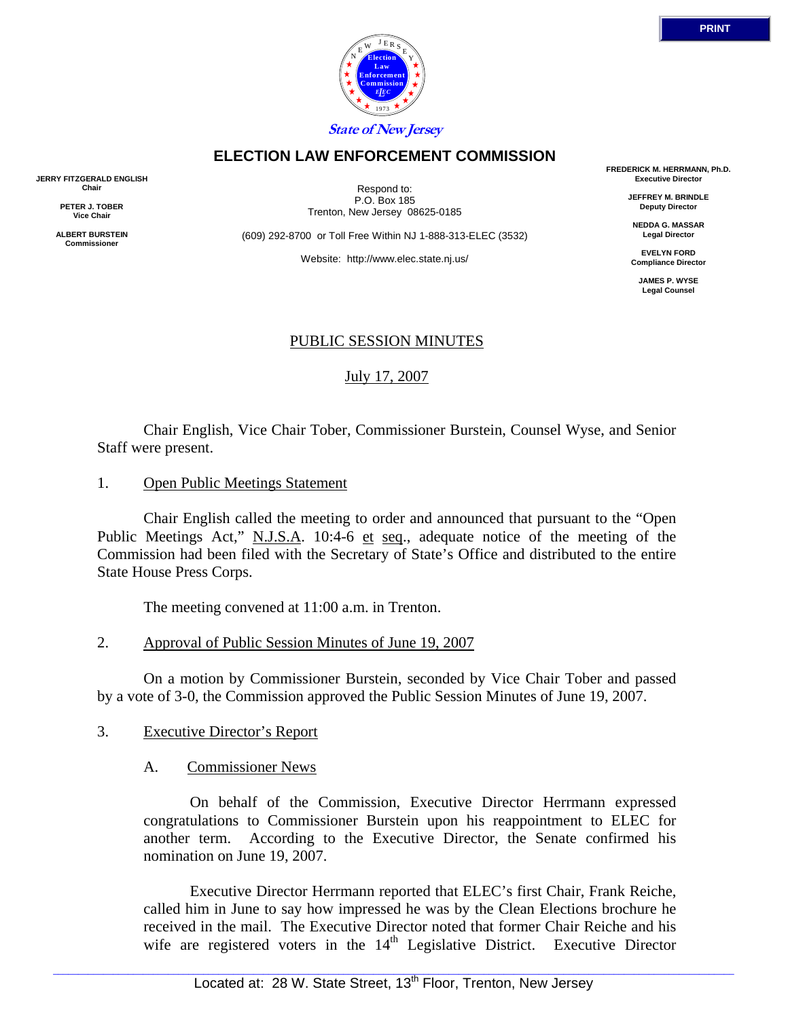

### **ELECTION LAW ENFORCEMENT COMMISSION**

**JERRY FITZGERALD ENGLISH Chair** 

> **PETER J. TOBER Vice Chair**

**ALBERT BURSTEIN Commissioner** 

Respond to: P.O. Box 185 Trenton, New Jersey 08625-0185

(609) 292-8700 or Toll Free Within NJ 1-888-313-ELEC (3532)

Website: http://www.elec.state.nj.us/

**FREDERICK M. HERRMANN, Ph.D. Executive Director** 

> **JEFFREY M. BRINDLE Deputy Director**

**NEDDA G. MASSAR Legal Director** 

**EVELYN FORD Compliance Director** 

**JAMES P. WYSE Legal Counsel** 

### PUBLIC SESSION MINUTES

July 17, 2007

 Chair English, Vice Chair Tober, Commissioner Burstein, Counsel Wyse, and Senior Staff were present.

1. Open Public Meetings Statement

 Chair English called the meeting to order and announced that pursuant to the "Open Public Meetings Act," N.J.S.A. 10:4-6 et seq., adequate notice of the meeting of the Commission had been filed with the Secretary of State's Office and distributed to the entire State House Press Corps.

The meeting convened at 11:00 a.m. in Trenton.

2. Approval of Public Session Minutes of June 19, 2007

 On a motion by Commissioner Burstein, seconded by Vice Chair Tober and passed by a vote of 3-0, the Commission approved the Public Session Minutes of June 19, 2007.

- 3. Executive Director's Report
	- A. Commissioner News

 On behalf of the Commission, Executive Director Herrmann expressed congratulations to Commissioner Burstein upon his reappointment to ELEC for another term. According to the Executive Director, the Senate confirmed his nomination on June 19, 2007.

 Executive Director Herrmann reported that ELEC's first Chair, Frank Reiche, called him in June to say how impressed he was by the Clean Elections brochure he received in the mail. The Executive Director noted that former Chair Reiche and his wife are registered voters in the  $14<sup>th</sup>$  Legislative District. Executive Director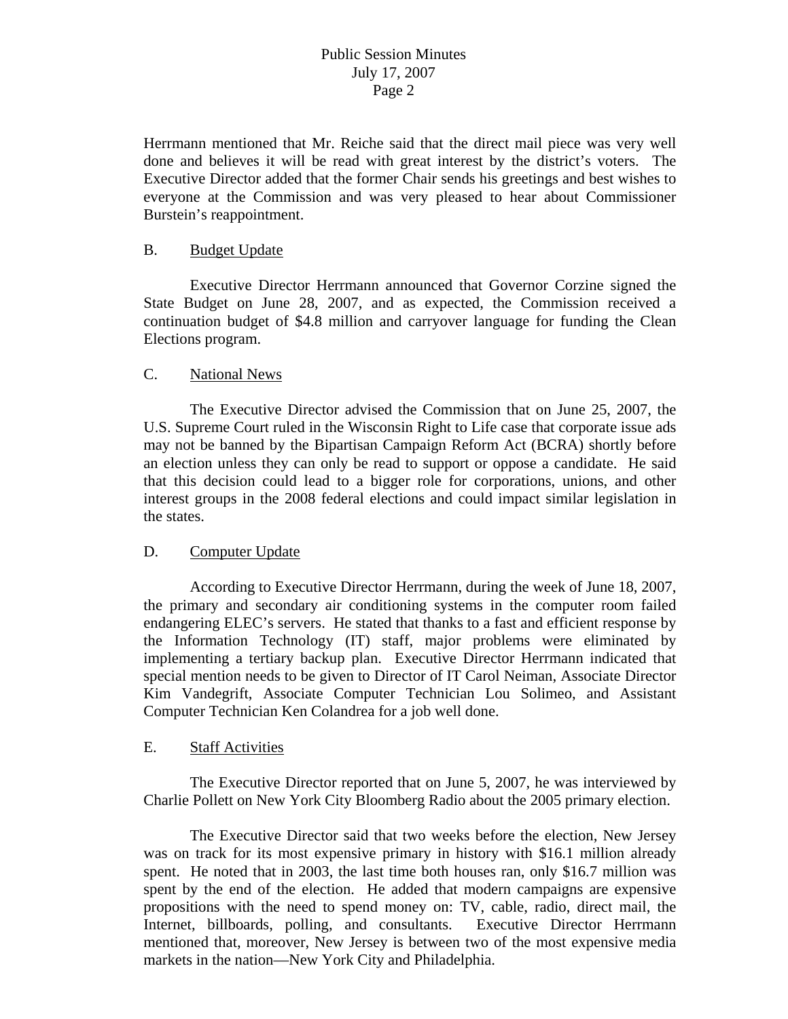Herrmann mentioned that Mr. Reiche said that the direct mail piece was very well done and believes it will be read with great interest by the district's voters. The Executive Director added that the former Chair sends his greetings and best wishes to everyone at the Commission and was very pleased to hear about Commissioner Burstein's reappointment.

#### B. Budget Update

 Executive Director Herrmann announced that Governor Corzine signed the State Budget on June 28, 2007, and as expected, the Commission received a continuation budget of \$4.8 million and carryover language for funding the Clean Elections program.

### C. National News

 The Executive Director advised the Commission that on June 25, 2007, the U.S. Supreme Court ruled in the Wisconsin Right to Life case that corporate issue ads may not be banned by the Bipartisan Campaign Reform Act (BCRA) shortly before an election unless they can only be read to support or oppose a candidate. He said that this decision could lead to a bigger role for corporations, unions, and other interest groups in the 2008 federal elections and could impact similar legislation in the states.

### D. Computer Update

 According to Executive Director Herrmann, during the week of June 18, 2007, the primary and secondary air conditioning systems in the computer room failed endangering ELEC's servers. He stated that thanks to a fast and efficient response by the Information Technology (IT) staff, major problems were eliminated by implementing a tertiary backup plan. Executive Director Herrmann indicated that special mention needs to be given to Director of IT Carol Neiman, Associate Director Kim Vandegrift, Associate Computer Technician Lou Solimeo, and Assistant Computer Technician Ken Colandrea for a job well done.

### E. Staff Activities

 The Executive Director reported that on June 5, 2007, he was interviewed by Charlie Pollett on New York City Bloomberg Radio about the 2005 primary election.

 The Executive Director said that two weeks before the election, New Jersey was on track for its most expensive primary in history with \$16.1 million already spent. He noted that in 2003, the last time both houses ran, only \$16.7 million was spent by the end of the election. He added that modern campaigns are expensive propositions with the need to spend money on: TV, cable, radio, direct mail, the Internet, billboards, polling, and consultants. Executive Director Herrmann mentioned that, moreover, New Jersey is between two of the most expensive media markets in the nation—New York City and Philadelphia.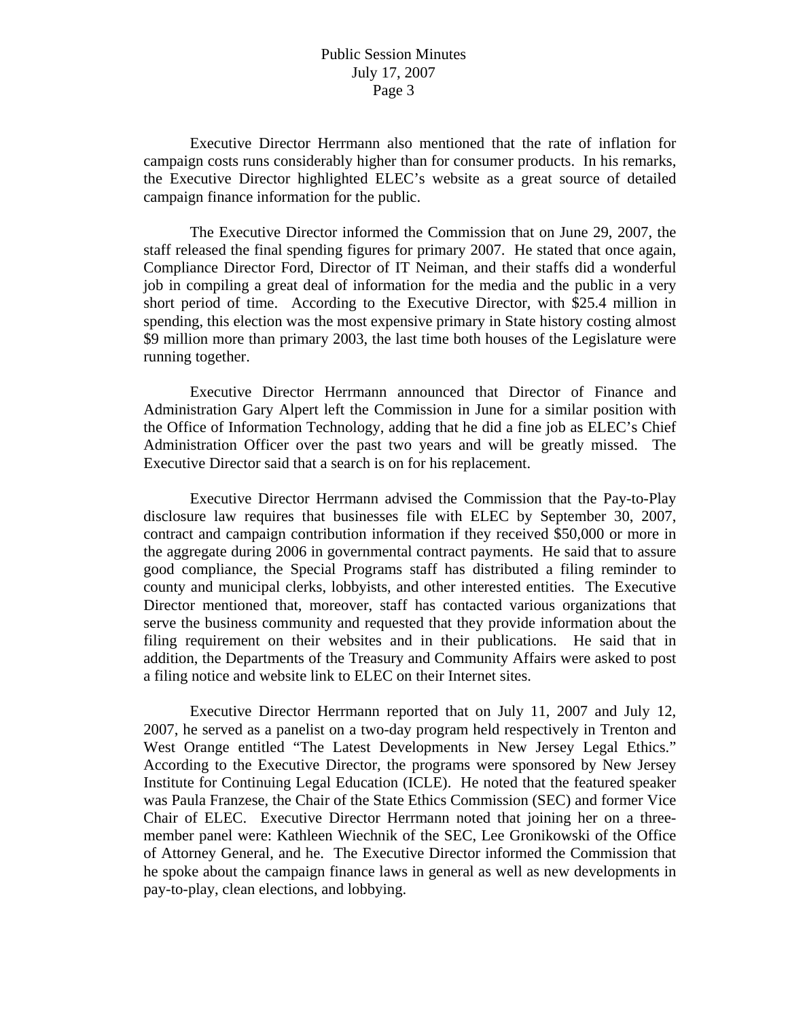Executive Director Herrmann also mentioned that the rate of inflation for campaign costs runs considerably higher than for consumer products. In his remarks, the Executive Director highlighted ELEC's website as a great source of detailed campaign finance information for the public.

 The Executive Director informed the Commission that on June 29, 2007, the staff released the final spending figures for primary 2007. He stated that once again, Compliance Director Ford, Director of IT Neiman, and their staffs did a wonderful job in compiling a great deal of information for the media and the public in a very short period of time. According to the Executive Director, with \$25.4 million in spending, this election was the most expensive primary in State history costing almost \$9 million more than primary 2003, the last time both houses of the Legislature were running together.

 Executive Director Herrmann announced that Director of Finance and Administration Gary Alpert left the Commission in June for a similar position with the Office of Information Technology, adding that he did a fine job as ELEC's Chief Administration Officer over the past two years and will be greatly missed. The Executive Director said that a search is on for his replacement.

 Executive Director Herrmann advised the Commission that the Pay-to-Play disclosure law requires that businesses file with ELEC by September 30, 2007, contract and campaign contribution information if they received \$50,000 or more in the aggregate during 2006 in governmental contract payments. He said that to assure good compliance, the Special Programs staff has distributed a filing reminder to county and municipal clerks, lobbyists, and other interested entities. The Executive Director mentioned that, moreover, staff has contacted various organizations that serve the business community and requested that they provide information about the filing requirement on their websites and in their publications. He said that in addition, the Departments of the Treasury and Community Affairs were asked to post a filing notice and website link to ELEC on their Internet sites.

 Executive Director Herrmann reported that on July 11, 2007 and July 12, 2007, he served as a panelist on a two-day program held respectively in Trenton and West Orange entitled "The Latest Developments in New Jersey Legal Ethics." According to the Executive Director, the programs were sponsored by New Jersey Institute for Continuing Legal Education (ICLE). He noted that the featured speaker was Paula Franzese, the Chair of the State Ethics Commission (SEC) and former Vice Chair of ELEC. Executive Director Herrmann noted that joining her on a threemember panel were: Kathleen Wiechnik of the SEC, Lee Gronikowski of the Office of Attorney General, and he. The Executive Director informed the Commission that he spoke about the campaign finance laws in general as well as new developments in pay-to-play, clean elections, and lobbying.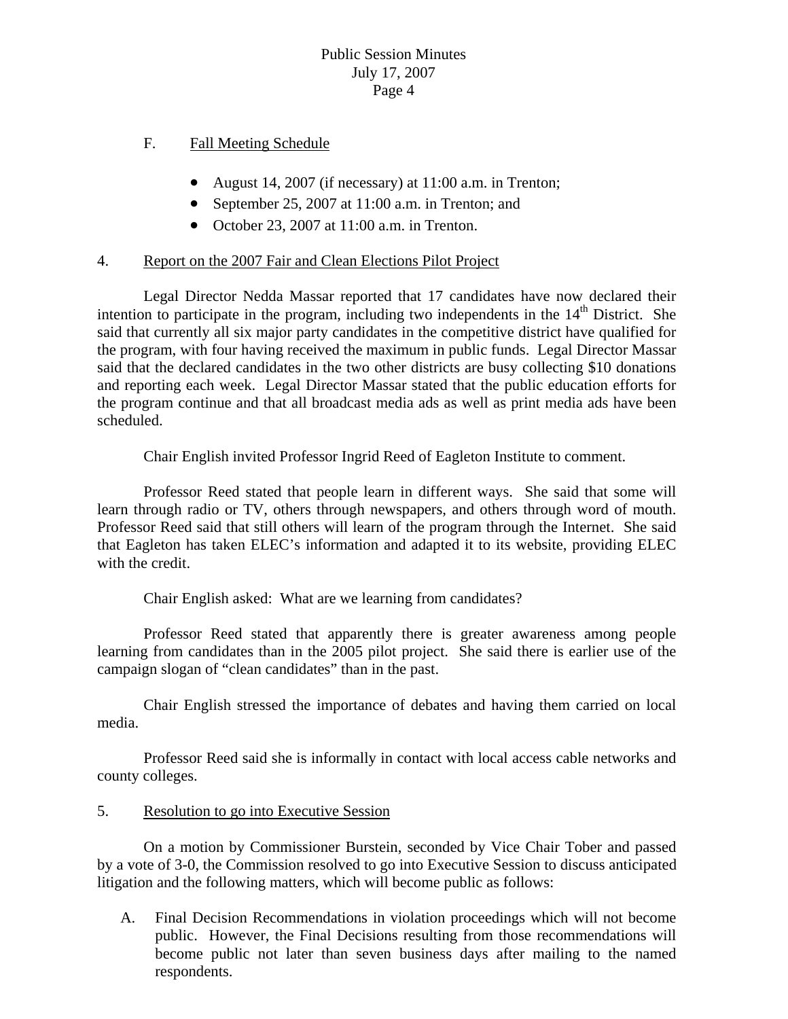# F. Fall Meeting Schedule

- August 14, 2007 (if necessary) at 11:00 a.m. in Trenton;
- September 25, 2007 at 11:00 a.m. in Trenton; and
- October 23, 2007 at 11:00 a.m. in Trenton.

# 4. Report on the 2007 Fair and Clean Elections Pilot Project

 Legal Director Nedda Massar reported that 17 candidates have now declared their intention to participate in the program, including two independents in the  $14<sup>th</sup>$  District. She said that currently all six major party candidates in the competitive district have qualified for the program, with four having received the maximum in public funds. Legal Director Massar said that the declared candidates in the two other districts are busy collecting \$10 donations and reporting each week. Legal Director Massar stated that the public education efforts for the program continue and that all broadcast media ads as well as print media ads have been scheduled.

Chair English invited Professor Ingrid Reed of Eagleton Institute to comment.

 Professor Reed stated that people learn in different ways. She said that some will learn through radio or TV, others through newspapers, and others through word of mouth. Professor Reed said that still others will learn of the program through the Internet. She said that Eagleton has taken ELEC's information and adapted it to its website, providing ELEC with the credit.

Chair English asked: What are we learning from candidates?

 Professor Reed stated that apparently there is greater awareness among people learning from candidates than in the 2005 pilot project. She said there is earlier use of the campaign slogan of "clean candidates" than in the past.

 Chair English stressed the importance of debates and having them carried on local media.

 Professor Reed said she is informally in contact with local access cable networks and county colleges.

# 5. Resolution to go into Executive Session

 On a motion by Commissioner Burstein, seconded by Vice Chair Tober and passed by a vote of 3-0, the Commission resolved to go into Executive Session to discuss anticipated litigation and the following matters, which will become public as follows:

A. Final Decision Recommendations in violation proceedings which will not become public. However, the Final Decisions resulting from those recommendations will become public not later than seven business days after mailing to the named respondents.